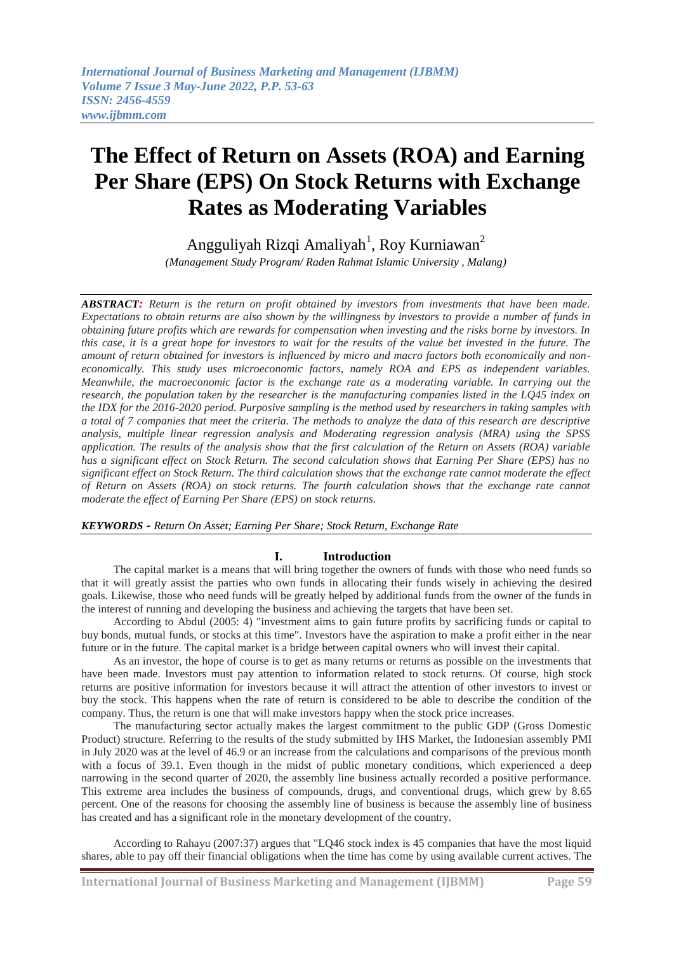# **The Effect of Return on Assets (ROA) and Earning Per Share (EPS) On Stock Returns with Exchange Rates as Moderating Variables**

Angguliyah Rizqi Amaliyah<sup>1</sup>, Roy Kurniawan<sup>2</sup>

*(Management Study Program/ Raden Rahmat Islamic University , Malang)* 

*ABSTRACT: Return is the return on profit obtained by investors from investments that have been made. Expectations to obtain returns are also shown by the willingness by investors to provide a number of funds in obtaining future profits which are rewards for compensation when investing and the risks borne by investors. In this case, it is a great hope for investors to wait for the results of the value bet invested in the future. The amount of return obtained for investors is influenced by micro and macro factors both economically and noneconomically. This study uses microeconomic factors, namely ROA and EPS as independent variables. Meanwhile, the macroeconomic factor is the exchange rate as a moderating variable. In carrying out the research, the population taken by the researcher is the manufacturing companies listed in the LQ45 index on the IDX for the 2016-2020 period. Purposive sampling is the method used by researchers in taking samples with a total of 7 companies that meet the criteria. The methods to analyze the data of this research are descriptive analysis, multiple linear regression analysis and Moderating regression analysis (MRA) using the SPSS application. The results of the analysis show that the first calculation of the Return on Assets (ROA) variable has a significant effect on Stock Return. The second calculation shows that Earning Per Share (EPS) has no significant effect on Stock Return. The third calculation shows that the exchange rate cannot moderate the effect of Return on Assets (ROA) on stock returns. The fourth calculation shows that the exchange rate cannot moderate the effect of Earning Per Share (EPS) on stock returns.*

*KEYWORDS - Return On Asset; Earning Per Share; Stock Return, Exchange Rate*

# **I. Introduction**

The capital market is a means that will bring together the owners of funds with those who need funds so that it will greatly assist the parties who own funds in allocating their funds wisely in achieving the desired goals. Likewise, those who need funds will be greatly helped by additional funds from the owner of the funds in the interest of running and developing the business and achieving the targets that have been set.

According to Abdul (2005: 4) "investment aims to gain future profits by sacrificing funds or capital to buy bonds, mutual funds, or stocks at this time". Investors have the aspiration to make a profit either in the near future or in the future. The capital market is a bridge between capital owners who will invest their capital.

As an investor, the hope of course is to get as many returns or returns as possible on the investments that have been made. Investors must pay attention to information related to stock returns. Of course, high stock returns are positive information for investors because it will attract the attention of other investors to invest or buy the stock. This happens when the rate of return is considered to be able to describe the condition of the company. Thus, the return is one that will make investors happy when the stock price increases.

The manufacturing sector actually makes the largest commitment to the public GDP (Gross Domestic Product) structure. Referring to the results of the study submitted by IHS Market, the Indonesian assembly PMI in July 2020 was at the level of 46.9 or an increase from the calculations and comparisons of the previous month with a focus of 39.1. Even though in the midst of public monetary conditions, which experienced a deep narrowing in the second quarter of 2020, the assembly line business actually recorded a positive performance. This extreme area includes the business of compounds, drugs, and conventional drugs, which grew by 8.65 percent. One of the reasons for choosing the assembly line of business is because the assembly line of business has created and has a significant role in the monetary development of the country.

According to Rahayu (2007:37) argues that "LQ46 stock index is 45 companies that have the most liquid shares, able to pay off their financial obligations when the time has come by using available current actives. The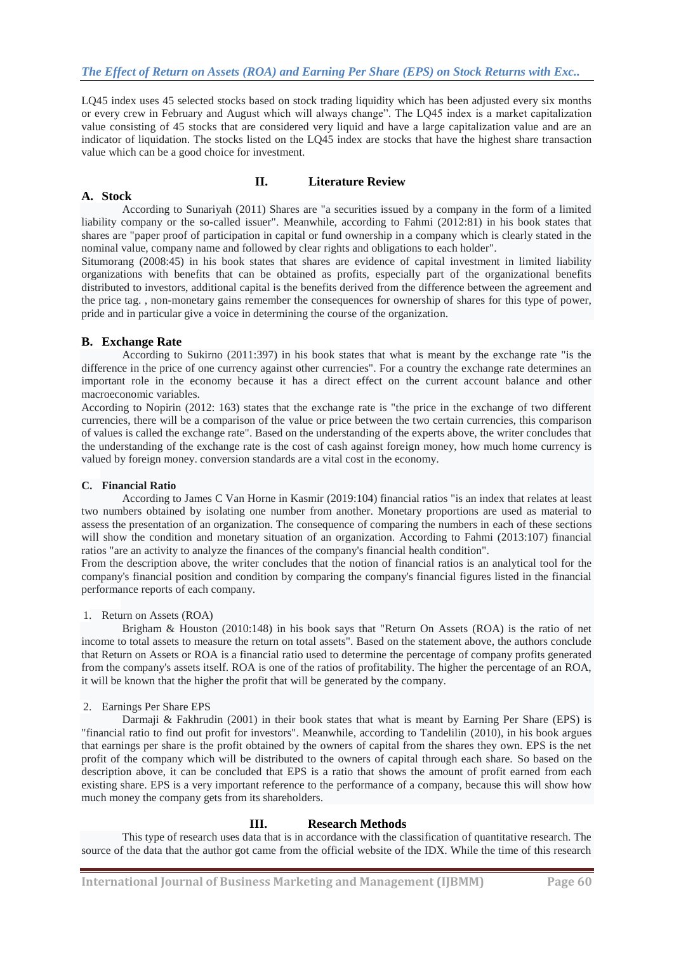LQ45 index uses 45 selected stocks based on stock trading liquidity which has been adjusted every six months or every crew in February and August which will always change". The LQ45 index is a market capitalization value consisting of 45 stocks that are considered very liquid and have a large capitalization value and are an indicator of liquidation. The stocks listed on the LQ45 index are stocks that have the highest share transaction value which can be a good choice for investment.

# **II. Literature Review**

According to Sunariyah (2011) Shares are "a securities issued by a company in the form of a limited liability company or the so-called issuer". Meanwhile, according to Fahmi (2012:81) in his book states that shares are "paper proof of participation in capital or fund ownership in a company which is clearly stated in the nominal value, company name and followed by clear rights and obligations to each holder".

Situmorang (2008:45) in his book states that shares are evidence of capital investment in limited liability organizations with benefits that can be obtained as profits, especially part of the organizational benefits distributed to investors, additional capital is the benefits derived from the difference between the agreement and the price tag. , non-monetary gains remember the consequences for ownership of shares for this type of power, pride and in particular give a voice in determining the course of the organization.

## **B. Exchange Rate**

**A. Stock**

According to Sukirno (2011:397) in his book states that what is meant by the exchange rate "is the difference in the price of one currency against other currencies". For a country the exchange rate determines an important role in the economy because it has a direct effect on the current account balance and other macroeconomic variables.

According to Nopirin (2012: 163) states that the exchange rate is "the price in the exchange of two different currencies, there will be a comparison of the value or price between the two certain currencies, this comparison of values is called the exchange rate". Based on the understanding of the experts above, the writer concludes that the understanding of the exchange rate is the cost of cash against foreign money, how much home currency is valued by foreign money. conversion standards are a vital cost in the economy.

#### **C. Financial Ratio**

According to James C Van Horne in Kasmir (2019:104) financial ratios "is an index that relates at least two numbers obtained by isolating one number from another. Monetary proportions are used as material to assess the presentation of an organization. The consequence of comparing the numbers in each of these sections will show the condition and monetary situation of an organization. According to Fahmi (2013:107) financial ratios "are an activity to analyze the finances of the company's financial health condition".

From the description above, the writer concludes that the notion of financial ratios is an analytical tool for the company's financial position and condition by comparing the company's financial figures listed in the financial performance reports of each company.

#### 1. Return on Assets (ROA)

Brigham & Houston (2010:148) in his book says that "Return On Assets (ROA) is the ratio of net income to total assets to measure the return on total assets". Based on the statement above, the authors conclude that Return on Assets or ROA is a financial ratio used to determine the percentage of company profits generated from the company's assets itself. ROA is one of the ratios of profitability. The higher the percentage of an ROA, it will be known that the higher the profit that will be generated by the company.

#### 2. Earnings Per Share EPS

Darmaji & Fakhrudin (2001) in their book states that what is meant by Earning Per Share (EPS) is "financial ratio to find out profit for investors". Meanwhile, according to Tandelilin (2010), in his book argues that earnings per share is the profit obtained by the owners of capital from the shares they own. EPS is the net profit of the company which will be distributed to the owners of capital through each share. So based on the description above, it can be concluded that EPS is a ratio that shows the amount of profit earned from each existing share. EPS is a very important reference to the performance of a company, because this will show how much money the company gets from its shareholders.

# **III. Research Methods**

This type of research uses data that is in accordance with the classification of quantitative research. The source of the data that the author got came from the official website of the IDX. While the time of this research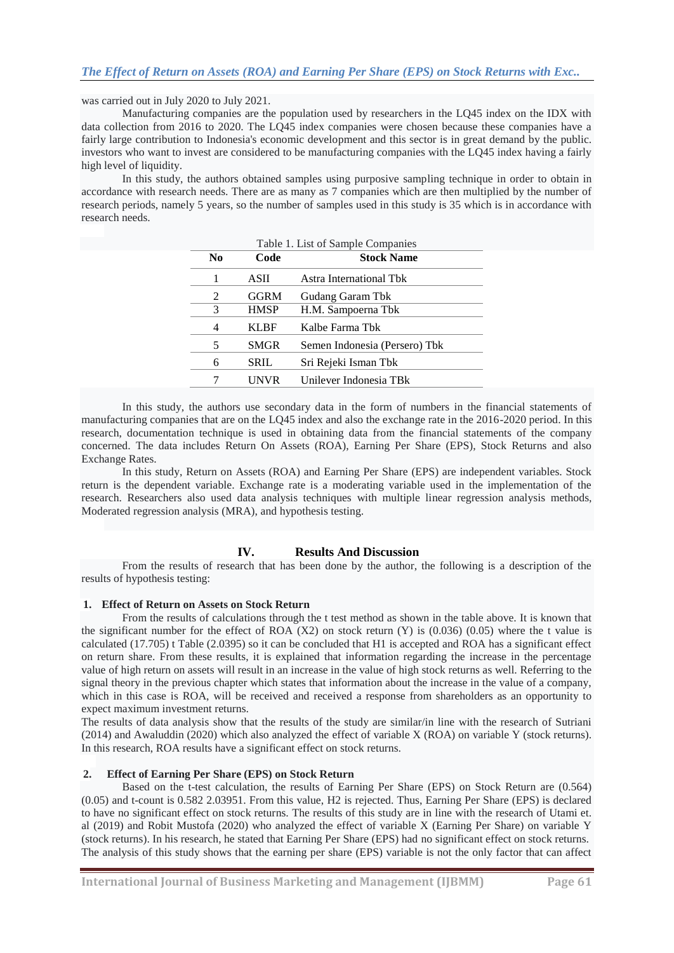was carried out in July 2020 to July 2021.

Manufacturing companies are the population used by researchers in the LQ45 index on the IDX with data collection from 2016 to 2020. The LQ45 index companies were chosen because these companies have a fairly large contribution to Indonesia's economic development and this sector is in great demand by the public. investors who want to invest are considered to be manufacturing companies with the LQ45 index having a fairly high level of liquidity.

In this study, the authors obtained samples using purposive sampling technique in order to obtain in accordance with research needs. There are as many as 7 companies which are then multiplied by the number of research periods, namely 5 years, so the number of samples used in this study is 35 which is in accordance with research needs.

| No | Code        | <b>Stock Name</b>             |
|----|-------------|-------------------------------|
|    | ASII        | Astra International Tbk       |
| 2  | <b>GGRM</b> | Gudang Garam Tbk              |
| 3  | <b>HMSP</b> | H.M. Sampoerna Tbk            |
| 4  | <b>KLBF</b> | Kalbe Farma Tbk               |
| 5  | <b>SMGR</b> | Semen Indonesia (Persero) Tbk |
| 6  | SRIL        | Sri Rejeki Isman Tbk          |
|    | UNVR        | Unilever Indonesia TBk        |

In this study, the authors use secondary data in the form of numbers in the financial statements of manufacturing companies that are on the LQ45 index and also the exchange rate in the 2016-2020 period. In this research, documentation technique is used in obtaining data from the financial statements of the company concerned. The data includes Return On Assets (ROA), Earning Per Share (EPS), Stock Returns and also Exchange Rates.

In this study, Return on Assets (ROA) and Earning Per Share (EPS) are independent variables. Stock return is the dependent variable. Exchange rate is a moderating variable used in the implementation of the research. Researchers also used data analysis techniques with multiple linear regression analysis methods, Moderated regression analysis (MRA), and hypothesis testing.

#### **IV. Results And Discussion**

From the results of research that has been done by the author, the following is a description of the results of hypothesis testing:

#### **1. Effect of Return on Assets on Stock Return**

From the results of calculations through the t test method as shown in the table above. It is known that the significant number for the effect of ROA  $(X2)$  on stock return  $(Y)$  is  $(0.036)$   $(0.05)$  where the t value is calculated (17.705) t Table (2.0395) so it can be concluded that H1 is accepted and ROA has a significant effect on return share. From these results, it is explained that information regarding the increase in the percentage value of high return on assets will result in an increase in the value of high stock returns as well. Referring to the signal theory in the previous chapter which states that information about the increase in the value of a company, which in this case is ROA, will be received and received a response from shareholders as an opportunity to expect maximum investment returns.

The results of data analysis show that the results of the study are similar/in line with the research of Sutriani (2014) and Awaluddin (2020) which also analyzed the effect of variable X (ROA) on variable Y (stock returns). In this research, ROA results have a significant effect on stock returns.

#### **2. Effect of Earning Per Share (EPS) on Stock Return**

Based on the t-test calculation, the results of Earning Per Share (EPS) on Stock Return are (0.564) (0.05) and t-count is 0.582 2.03951. From this value, H2 is rejected. Thus, Earning Per Share (EPS) is declared to have no significant effect on stock returns. The results of this study are in line with the research of Utami et. al (2019) and Robit Mustofa (2020) who analyzed the effect of variable X (Earning Per Share) on variable Y (stock returns). In his research, he stated that Earning Per Share (EPS) had no significant effect on stock returns. The analysis of this study shows that the earning per share (EPS) variable is not the only factor that can affect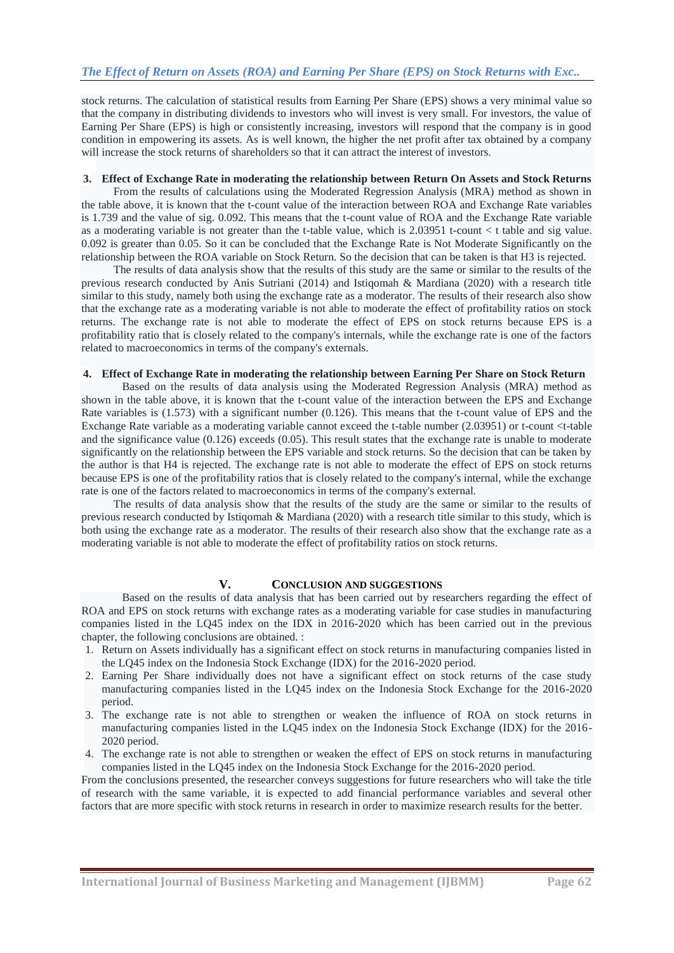stock returns. The calculation of statistical results from Earning Per Share (EPS) shows a very minimal value so that the company in distributing dividends to investors who will invest is very small. For investors, the value of Earning Per Share (EPS) is high or consistently increasing, investors will respond that the company is in good condition in empowering its assets. As is well known, the higher the net profit after tax obtained by a company will increase the stock returns of shareholders so that it can attract the interest of investors.

### **3. Effect of Exchange Rate in moderating the relationship between Return On Assets and Stock Returns**

From the results of calculations using the Moderated Regression Analysis (MRA) method as shown in the table above, it is known that the t-count value of the interaction between ROA and Exchange Rate variables is 1.739 and the value of sig. 0.092. This means that the t-count value of ROA and the Exchange Rate variable as a moderating variable is not greater than the t-table value, which is 2.03951 t-count < t table and sig value. 0.092 is greater than 0.05. So it can be concluded that the Exchange Rate is Not Moderate Significantly on the relationship between the ROA variable on Stock Return. So the decision that can be taken is that H3 is rejected.

The results of data analysis show that the results of this study are the same or similar to the results of the previous research conducted by Anis Sutriani (2014) and Istiqomah & Mardiana (2020) with a research title similar to this study, namely both using the exchange rate as a moderator. The results of their research also show that the exchange rate as a moderating variable is not able to moderate the effect of profitability ratios on stock returns. The exchange rate is not able to moderate the effect of EPS on stock returns because EPS is a profitability ratio that is closely related to the company's internals, while the exchange rate is one of the factors related to macroeconomics in terms of the company's externals.

#### **4. Effect of Exchange Rate in moderating the relationship between Earning Per Share on Stock Return**

Based on the results of data analysis using the Moderated Regression Analysis (MRA) method as shown in the table above, it is known that the t-count value of the interaction between the EPS and Exchange Rate variables is (1.573) with a significant number (0.126). This means that the t-count value of EPS and the Exchange Rate variable as a moderating variable cannot exceed the t-table number (2.03951) or t-count <t-table and the significance value (0.126) exceeds (0.05). This result states that the exchange rate is unable to moderate significantly on the relationship between the EPS variable and stock returns. So the decision that can be taken by the author is that H4 is rejected. The exchange rate is not able to moderate the effect of EPS on stock returns because EPS is one of the profitability ratios that is closely related to the company's internal, while the exchange rate is one of the factors related to macroeconomics in terms of the company's external.

The results of data analysis show that the results of the study are the same or similar to the results of previous research conducted by Istiqomah & Mardiana (2020) with a research title similar to this study, which is both using the exchange rate as a moderator. The results of their research also show that the exchange rate as a moderating variable is not able to moderate the effect of profitability ratios on stock returns.

#### **V. CONCLUSION AND SUGGESTIONS**

Based on the results of data analysis that has been carried out by researchers regarding the effect of ROA and EPS on stock returns with exchange rates as a moderating variable for case studies in manufacturing companies listed in the LQ45 index on the IDX in 2016-2020 which has been carried out in the previous chapter, the following conclusions are obtained. :

- 1. Return on Assets individually has a significant effect on stock returns in manufacturing companies listed in the LQ45 index on the Indonesia Stock Exchange (IDX) for the 2016-2020 period.
- 2. Earning Per Share individually does not have a significant effect on stock returns of the case study manufacturing companies listed in the LQ45 index on the Indonesia Stock Exchange for the 2016-2020 period.
- 3. The exchange rate is not able to strengthen or weaken the influence of ROA on stock returns in manufacturing companies listed in the LQ45 index on the Indonesia Stock Exchange (IDX) for the 2016- 2020 period.
- 4. The exchange rate is not able to strengthen or weaken the effect of EPS on stock returns in manufacturing companies listed in the LQ45 index on the Indonesia Stock Exchange for the 2016-2020 period.

From the conclusions presented, the researcher conveys suggestions for future researchers who will take the title of research with the same variable, it is expected to add financial performance variables and several other factors that are more specific with stock returns in research in order to maximize research results for the better.